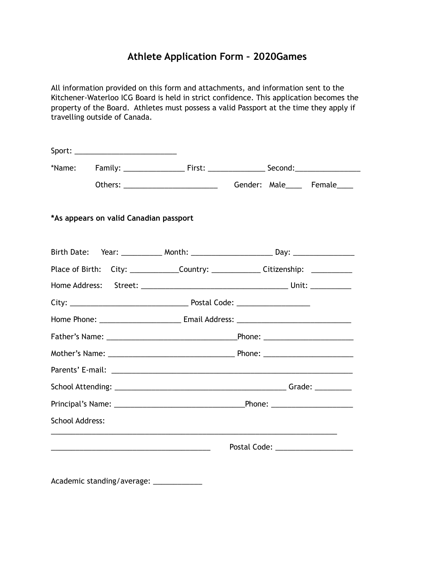## **Athlete Application Form – 2020Games**

All information provided on this form and attachments, and information sent to the Kitchener-Waterloo ICG Board is held in strict confidence. This application becomes the property of the Board. Athletes must possess a valid Passport at the time they apply if travelling outside of Canada.

|                        |                                                                                                                        | Gender: Male____ Female____                                                                          |
|------------------------|------------------------------------------------------------------------------------------------------------------------|------------------------------------------------------------------------------------------------------|
|                        | *As appears on valid Canadian passport                                                                                 |                                                                                                      |
|                        |                                                                                                                        | Birth Date: Year: ____________ Month: ____________________________ Day: ____________________________ |
|                        |                                                                                                                        | Place of Birth: City: _______________Country: ________________Citizenship: ____________              |
|                        |                                                                                                                        |                                                                                                      |
|                        |                                                                                                                        |                                                                                                      |
|                        |                                                                                                                        |                                                                                                      |
|                        |                                                                                                                        |                                                                                                      |
|                        |                                                                                                                        |                                                                                                      |
|                        |                                                                                                                        |                                                                                                      |
|                        |                                                                                                                        |                                                                                                      |
|                        |                                                                                                                        |                                                                                                      |
| <b>School Address:</b> |                                                                                                                        |                                                                                                      |
|                        | <u> 1989 - Johann Stoff, deutscher Stoffen und der Stoffen und der Stoffen und der Stoffen und der Stoffen und der</u> | Postal Code: ______________________                                                                  |
|                        |                                                                                                                        |                                                                                                      |
|                        |                                                                                                                        |                                                                                                      |

Academic standing/average: \_\_\_\_\_\_\_\_\_\_\_\_\_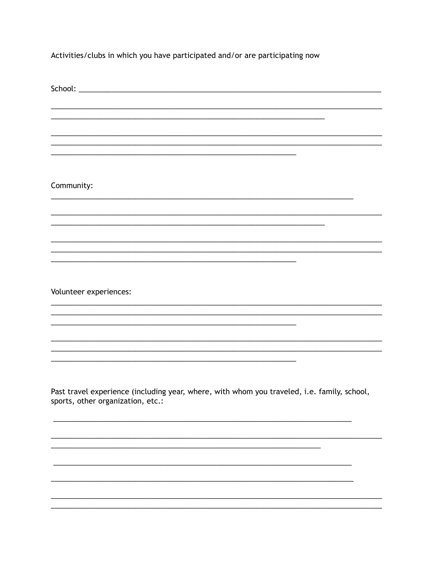Activities/clubs in which you have participated and/or are participating now

| <u> 1989 - Andrea Santa Andrea Andrea Andrea Andrea Andrea Andrea Andrea Andrea Andrea Andrea Andrea Andrea Andr</u>             |
|----------------------------------------------------------------------------------------------------------------------------------|
|                                                                                                                                  |
| Community:                                                                                                                       |
|                                                                                                                                  |
|                                                                                                                                  |
|                                                                                                                                  |
|                                                                                                                                  |
|                                                                                                                                  |
|                                                                                                                                  |
| Volunteer experiences:                                                                                                           |
|                                                                                                                                  |
|                                                                                                                                  |
|                                                                                                                                  |
|                                                                                                                                  |
|                                                                                                                                  |
|                                                                                                                                  |
| Past travel experience (including year, where, with whom you traveled, i.e. family, school,<br>sports, other organization, etc.: |
|                                                                                                                                  |
|                                                                                                                                  |
|                                                                                                                                  |
|                                                                                                                                  |
|                                                                                                                                  |
|                                                                                                                                  |